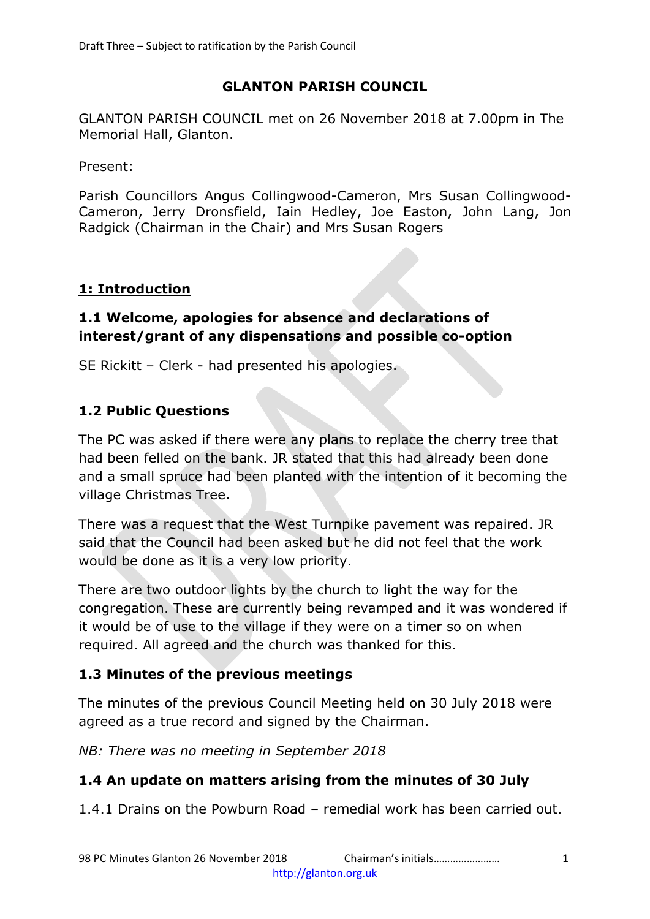### **GLANTON PARISH COUNCIL**

GLANTON PARISH COUNCIL met on 26 November 2018 at 7.00pm in The Memorial Hall, Glanton.

Present:

Parish Councillors Angus Collingwood-Cameron, Mrs Susan Collingwood-Cameron, Jerry Dronsfield, Iain Hedley, Joe Easton, John Lang, Jon Radgick (Chairman in the Chair) and Mrs Susan Rogers

### **1: Introduction**

### **1.1 Welcome, apologies for absence and declarations of interest/grant of any dispensations and possible co-option**

SE Rickitt – Clerk - had presented his apologies.

### **1.2 Public Questions**

The PC was asked if there were any plans to replace the cherry tree that had been felled on the bank. JR stated that this had already been done and a small spruce had been planted with the intention of it becoming the village Christmas Tree.

There was a request that the West Turnpike pavement was repaired. JR said that the Council had been asked but he did not feel that the work would be done as it is a very low priority.

There are two outdoor lights by the church to light the way for the congregation. These are currently being revamped and it was wondered if it would be of use to the village if they were on a timer so on when required. All agreed and the church was thanked for this.

### **1.3 Minutes of the previous meetings**

The minutes of the previous Council Meeting held on 30 July 2018 were agreed as a true record and signed by the Chairman.

*NB: There was no meeting in September 2018*

### **1.4 An update on matters arising from the minutes of 30 July**

1.4.1 Drains on the Powburn Road – remedial work has been carried out.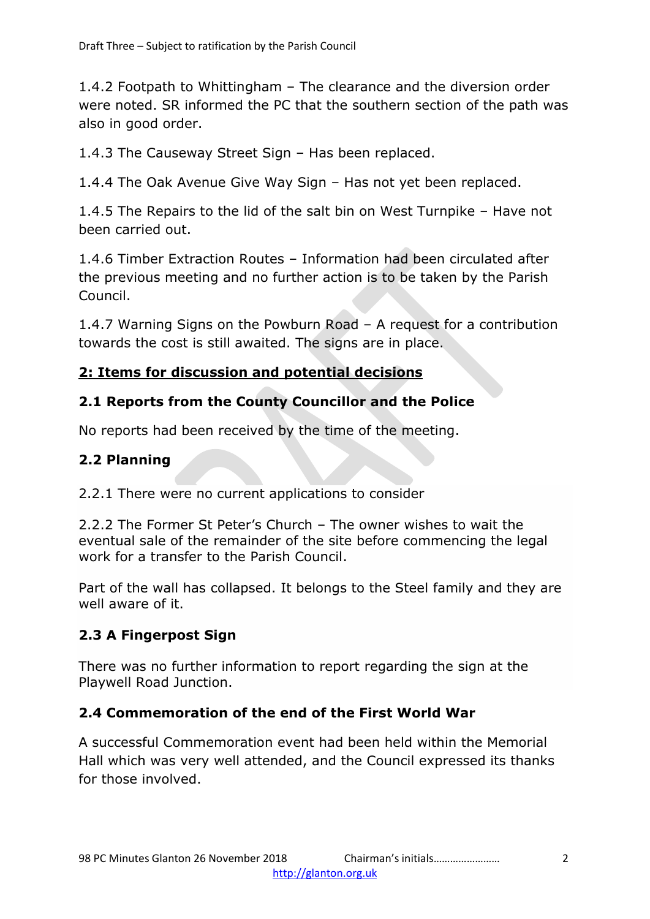1.4.2 Footpath to Whittingham – The clearance and the diversion order were noted. SR informed the PC that the southern section of the path was also in good order.

1.4.3 The Causeway Street Sign – Has been replaced.

1.4.4 The Oak Avenue Give Way Sign – Has not yet been replaced.

1.4.5 The Repairs to the lid of the salt bin on West Turnpike – Have not been carried out.

1.4.6 Timber Extraction Routes – Information had been circulated after the previous meeting and no further action is to be taken by the Parish Council.

1.4.7 Warning Signs on the Powburn Road – A request for a contribution towards the cost is still awaited. The signs are in place.

### **2: Items for discussion and potential decisions**

## **2.1 Reports from the County Councillor and the Police**

No reports had been received by the time of the meeting.

## **2.2 Planning**

2.2.1 There were no current applications to consider

2.2.2 The Former St Peter's Church – The owner wishes to wait the eventual sale of the remainder of the site before commencing the legal work for a transfer to the Parish Council.

Part of the wall has collapsed. It belongs to the Steel family and they are well aware of it.

# **2.3 A Fingerpost Sign**

There was no further information to report regarding the sign at the Playwell Road Junction.

# **2.4 Commemoration of the end of the First World War**

A successful Commemoration event had been held within the Memorial Hall which was very well attended, and the Council expressed its thanks for those involved.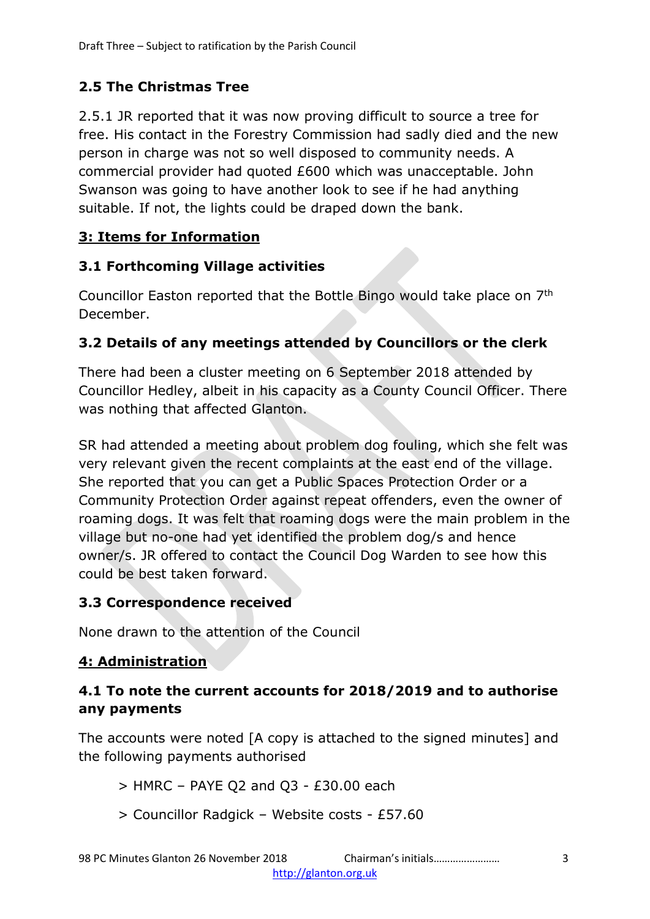# **2.5 The Christmas Tree**

2.5.1 JR reported that it was now proving difficult to source a tree for free. His contact in the Forestry Commission had sadly died and the new person in charge was not so well disposed to community needs. A commercial provider had quoted £600 which was unacceptable. John Swanson was going to have another look to see if he had anything suitable. If not, the lights could be draped down the bank.

# **3: Items for Information**

## **3.1 Forthcoming Village activities**

Councillor Easton reported that the Bottle Bingo would take place on 7<sup>th</sup> December.

## **3.2 Details of any meetings attended by Councillors or the clerk**

There had been a cluster meeting on 6 September 2018 attended by Councillor Hedley, albeit in his capacity as a County Council Officer. There was nothing that affected Glanton.

SR had attended a meeting about problem dog fouling, which she felt was very relevant given the recent complaints at the east end of the village. She reported that you can get a Public Spaces Protection Order or a Community Protection Order against repeat offenders, even the owner of roaming dogs. It was felt that roaming dogs were the main problem in the village but no-one had yet identified the problem dog/s and hence owner/s. JR offered to contact the Council Dog Warden to see how this could be best taken forward.

### **3.3 Correspondence received**

None drawn to the attention of the Council

# **4: Administration**

### **4.1 To note the current accounts for 2018/2019 and to authorise any payments**

The accounts were noted [A copy is attached to the signed minutes] and the following payments authorised

 $>$  HMRC – PAYE Q2 and Q3 - £30.00 each

> Councillor Radgick – Website costs - £57.60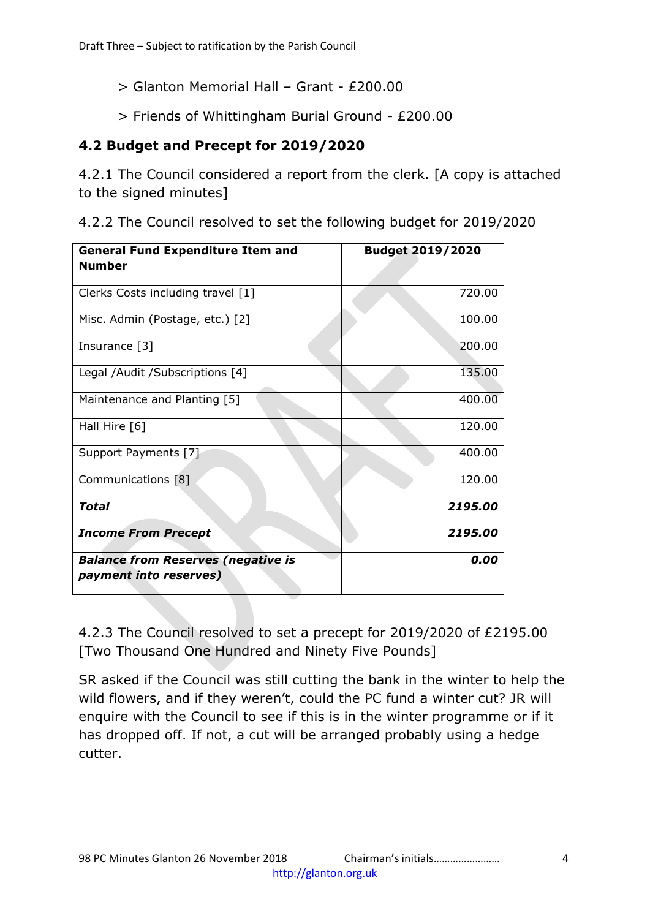- > Glanton Memorial Hall Grant £200.00
- > Friends of Whittingham Burial Ground £200.00

#### **4.2 Budget and Precept for 2019/2020**

4.2.1 The Council considered a report from the clerk. [A copy is attached to the signed minutes]

| <b>General Fund Expenditure Item and</b><br><b>Number</b>           | <b>Budget 2019/2020</b> |
|---------------------------------------------------------------------|-------------------------|
| Clerks Costs including travel [1]                                   | 720.00                  |
| Misc. Admin (Postage, etc.) [2]                                     | 100.00                  |
| Insurance [3]                                                       | 200.00                  |
| Legal /Audit /Subscriptions [4]                                     | 135.00                  |
| Maintenance and Planting [5]                                        | 400.00                  |
| Hall Hire [6]                                                       | 120.00                  |
| Support Payments [7]                                                | 400.00                  |
| Communications [8]                                                  | 120.00                  |
| Total                                                               | 2195.00                 |
| <b>Income From Precept</b>                                          | 2195.00                 |
| <b>Balance from Reserves (negative is</b><br>payment into reserves) | 0.00                    |

4.2.2 The Council resolved to set the following budget for 2019/2020

4.2.3 The Council resolved to set a precept for 2019/2020 of £2195.00 [Two Thousand One Hundred and Ninety Five Pounds]

SR asked if the Council was still cutting the bank in the winter to help the wild flowers, and if they weren't, could the PC fund a winter cut? JR will enquire with the Council to see if this is in the winter programme or if it has dropped off. If not, a cut will be arranged probably using a hedge cutter.